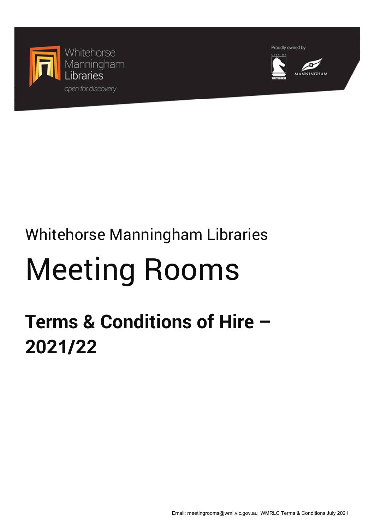

Proudly owned by



# Whitehorse Manningham Libraries

# Meeting Rooms

# **Terms & Conditions of Hire – 2021/22**

Email: meetingrooms@wml.vic.gov.au WMRLC Terms & Conditions July 2021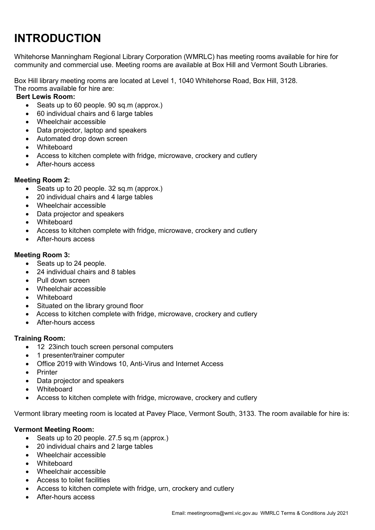# **INTRODUCTION**

Whitehorse Manningham Regional Library Corporation (WMRLC) has meeting rooms available for hire for community and commercial use. Meeting rooms are available at Box Hill and Vermont South Libraries.

Box Hill library meeting rooms are located at Level 1, 1040 Whitehorse Road, Box Hill, 3128. The rooms available for hire are:

#### **Bert Lewis Room:**

- Seats up to 60 people. 90 sq.m (approx.)
- 60 individual chairs and 6 large tables
- Wheelchair accessible
- Data projector, laptop and speakers
- Automated drop down screen
- Whiteboard
- Access to kitchen complete with fridge, microwave, crockery and cutlery
- After-hours access

#### **Meeting Room 2:**

- Seats up to 20 people. 32 sq.m (approx.)
- 20 individual chairs and 4 large tables
- Wheelchair accessible
- Data projector and speakers
- Whiteboard
- Access to kitchen complete with fridge, microwave, crockery and cutlery
- After-hours access

#### **Meeting Room 3:**

- Seats up to 24 people.
- 24 individual chairs and 8 tables
- Pull down screen
- Wheelchair accessible
- Whiteboard
- Situated on the library ground floor
- Access to kitchen complete with fridge, microwave, crockery and cutlery
- After-hours access

#### **Training Room:**

- 12 23inch touch screen personal computers
- 1 presenter/trainer computer
- Office 2019 with Windows 10, Anti-Virus and Internet Access
- Printer
- Data projector and speakers
- Whiteboard
- Access to kitchen complete with fridge, microwave, crockery and cutlery

Vermont library meeting room is located at Pavey Place, Vermont South, 3133. The room available for hire is:

#### **Vermont Meeting Room:**

- Seats up to 20 people. 27.5 sq.m (approx.)
- 20 individual chairs and 2 large tables
- Wheelchair accessible
- Whiteboard
- Wheelchair accessible
- Access to toilet facilities
- Access to kitchen complete with fridge, urn, crockery and cutlery
- After-hours access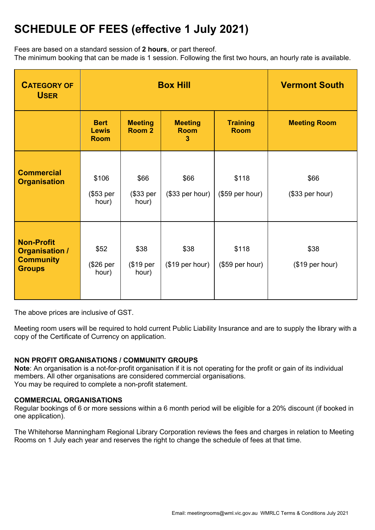## **SCHEDULE OF FEES (effective 1 July 2021)**

Fees are based on a standard session of **2 hours**, or part thereof.

The minimum booking that can be made is 1 session. Following the first two hours, an hourly rate is available.

| <b>CATEGORY OF</b><br><b>USER</b>                                               | <b>Box Hill</b>                            |                                     |                                    |                                | <b>Vermont South</b>    |
|---------------------------------------------------------------------------------|--------------------------------------------|-------------------------------------|------------------------------------|--------------------------------|-------------------------|
|                                                                                 | <b>Bert</b><br><b>Lewis</b><br><b>Room</b> | <b>Meeting</b><br>Room <sub>2</sub> | <b>Meeting</b><br><b>Room</b><br>3 | <b>Training</b><br><b>Room</b> | <b>Meeting Room</b>     |
| <b>Commercial</b><br><b>Organisation</b>                                        | \$106<br>(\$53 per<br>hour)                | \$66<br>(\$33 per<br>hour)          | \$66<br>(\$33 per hour)            | \$118<br>(\$59 per hour)       | \$66<br>(\$33 per hour) |
| <b>Non-Profit</b><br><b>Organisation /</b><br><b>Community</b><br><b>Groups</b> | \$52<br>(\$26 per<br>hour)                 | \$38<br>(\$19 per<br>hour)          | \$38<br>(\$19 per hour)            | \$118<br>(\$59 per hour)       | \$38<br>(\$19 per hour) |

The above prices are inclusive of GST.

Meeting room users will be required to hold current Public Liability Insurance and are to supply the library with a copy of the Certificate of Currency on application.

#### **NON PROFIT ORGANISATIONS / COMMUNITY GROUPS**

**Note**: An organisation is a not-for-profit organisation if it is not operating for the profit or gain of its individual members. All other organisations are considered commercial organisations. You may be required to complete a non-profit statement.

#### **COMMERCIAL ORGANISATIONS**

Regular bookings of 6 or more sessions within a 6 month period will be eligible for a 20% discount (if booked in one application).

The Whitehorse Manningham Regional Library Corporation reviews the fees and charges in relation to Meeting Rooms on 1 July each year and reserves the right to change the schedule of fees at that time.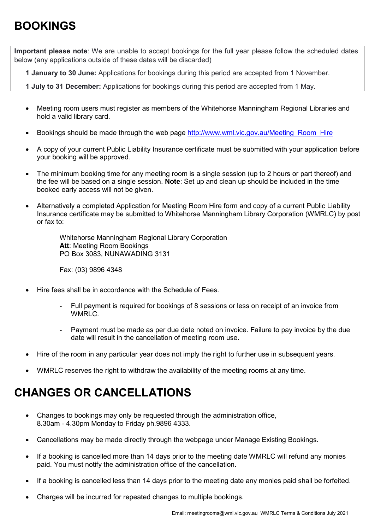## **BOOKINGS**

**Important please note**: We are unable to accept bookings for the full year please follow the scheduled dates below (any applications outside of these dates will be discarded)

**1 January to 30 June:** Applications for bookings during this period are accepted from 1 November.

**1 July to 31 December:** Applications for bookings during this period are accepted from 1 May.

- Meeting room users must register as members of the Whitehorse Manningham Regional Libraries and hold a valid library card.
- Bookings should be made through the web page [http://www.wml.vic.gov.au/Meeting\\_Room\\_Hire](http://www.wml.vic.gov.au/Meeting_Room_Hire)
- A copy of your current Public Liability Insurance certificate must be submitted with your application before your booking will be approved.
- The minimum booking time for any meeting room is a single session (up to 2 hours or part thereof) and the fee will be based on a single session. **Note**: Set up and clean up should be included in the time booked early access will not be given.
- Alternatively a completed Application for Meeting Room Hire form and copy of a current Public Liability Insurance certificate may be submitted to Whitehorse Manningham Library Corporation (WMRLC) by post or fax to:

Whitehorse Manningham Regional Library Corporation **Att**: Meeting Room Bookings PO Box 3083, NUNAWADING 3131

Fax: (03) 9896 4348

- Hire fees shall be in accordance with the Schedule of Fees.
	- Full payment is required for bookings of 8 sessions or less on receipt of an invoice from WMRLC.
	- Payment must be made as per due date noted on invoice. Failure to pay invoice by the due date will result in the cancellation of meeting room use.
- Hire of the room in any particular year does not imply the right to further use in subsequent years.
- WMRLC reserves the right to withdraw the availability of the meeting rooms at any time.

### **CHANGES OR CANCELLATIONS**

- Changes to bookings may only be requested through the administration office, 8.30am - 4.30pm Monday to Friday ph.9896 4333.
- Cancellations may be made directly through the webpage under Manage Existing Bookings.
- If a booking is cancelled more than 14 days prior to the meeting date WMRLC will refund any monies paid. You must notify the administration office of the cancellation.
- If a booking is cancelled less than 14 days prior to the meeting date any monies paid shall be forfeited.
- Charges will be incurred for repeated changes to multiple bookings.